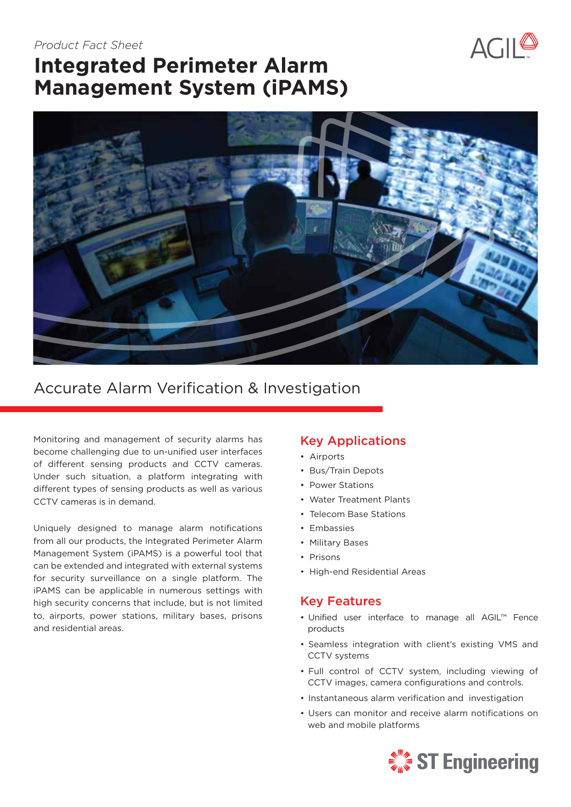### *Product Fact Sheet*



# **Integrated Perimeter Alarm Management System (iPAMS)**



# Accurate Alarm Verification & Investigation

Monitoring and management of security alarms has become challenging due to un-unified user interfaces of different sensing products and CCTV cameras. Under such situation, a platform integrating with different types of sensing products as well as various CCTV cameras is in demand.

Uniquely designed to manage alarm notifications from all our products, the Integrated Perimeter Alarm Management System (iPAMS) is a powerful tool that can be extended and integrated with external systems for security surveillance on a single platform. The iPAMS can be applicable in numerous settings with high security concerns that include, but is not limited to, airports, power stations, military bases, prisons and residential areas.

## Key Applications

- Airports
- Bus/Train Depots
- Power Stations
- Water Treatment Plants
- Telecom Base Stations
- Embassies
- Military Bases
- Prisons
- High-end Residential Areas

### Key Features

- Unified user interface to manage all AGIL™ Fence products
- Seamless integration with client's existing VMS and CCTV systems
- Full control of CCTV system, including viewing of CCTV images, camera configurations and controls.
- Instantaneous alarm verification and investigation
- Users can monitor and receive alarm notifications on web and mobile platforms